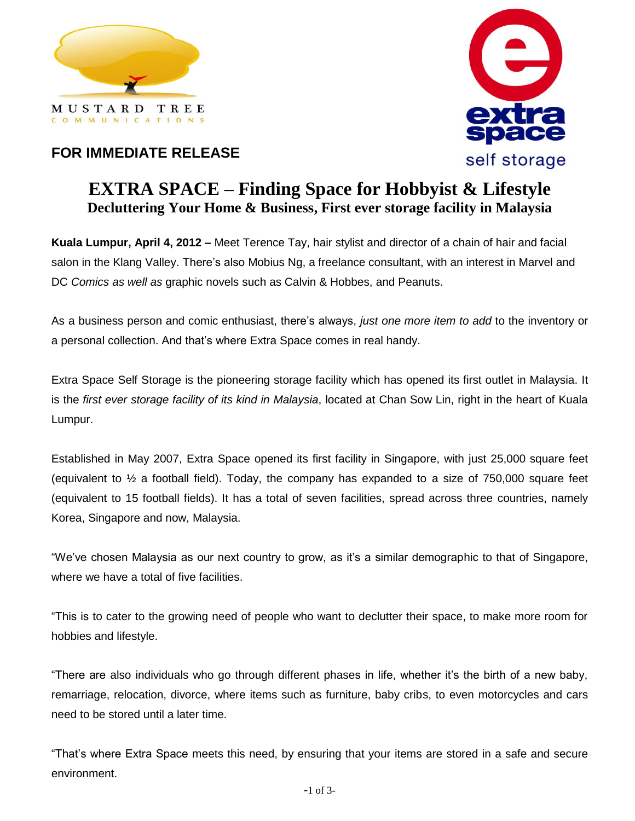



## **FOR IMMEDIATE RELEASE**

## **EXTRA SPACE – Finding Space for Hobbyist & Lifestyle Decluttering Your Home & Business, First ever storage facility in Malaysia**

**Kuala Lumpur, April 4, 2012 –** Meet Terence Tay, hair stylist and director of a chain of hair and facial salon in the Klang Valley. There's also Mobius Ng, a freelance consultant, with an interest in Marvel and DC *Comics as well as* graphic novels such as Calvin & Hobbes, and Peanuts.

As a business person and comic enthusiast, there's always, *just one more item to add* to the inventory or a personal collection. And that's where Extra Space comes in real handy.

Extra Space Self Storage is the pioneering storage facility which has opened its first outlet in Malaysia. It is the *first ever storage facility of its kind in Malaysia*, located at Chan Sow Lin, right in the heart of Kuala Lumpur.

Established in May 2007, Extra Space opened its first facility in Singapore, with just 25,000 square feet (equivalent to  $\frac{1}{2}$  a football field). Today, the company has expanded to a size of 750,000 square feet (equivalent to 15 football fields). It has a total of seven facilities, spread across three countries, namely Korea, Singapore and now, Malaysia.

"We've chosen Malaysia as our next country to grow, as it's a similar demographic to that of Singapore, where we have a total of five facilities.

"This is to cater to the growing need of people who want to declutter their space, to make more room for hobbies and lifestyle.

"There are also individuals who go through different phases in life, whether it's the birth of a new baby, remarriage, relocation, divorce, where items such as furniture, baby cribs, to even motorcycles and cars need to be stored until a later time.

"That's where Extra Space meets this need, by ensuring that your items are stored in a safe and secure environment.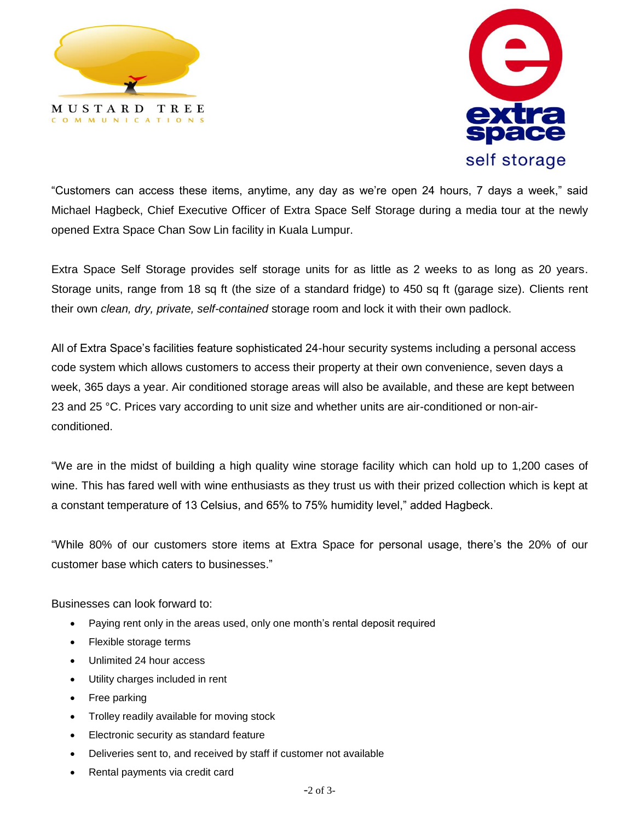



"Customers can access these items, anytime, any day as we're open 24 hours, 7 days a week," said Michael Hagbeck, Chief Executive Officer of Extra Space Self Storage during a media tour at the newly opened Extra Space Chan Sow Lin facility in Kuala Lumpur.

Extra Space Self Storage provides self storage units for as little as 2 weeks to as long as 20 years. Storage units, range from 18 sq ft (the size of a standard fridge) to 450 sq ft (garage size). Clients rent their own *clean, dry, private, self-contained* storage room and lock it with their own padlock.

All of Extra Space's facilities feature sophisticated 24-hour security systems including a personal access code system which allows customers to access their property at their own convenience, seven days a week, 365 days a year. Air conditioned storage areas will also be available, and these are kept between 23 and 25 °C. Prices vary according to unit size and whether units are air-conditioned or non-airconditioned.

"We are in the midst of building a high quality wine storage facility which can hold up to 1,200 cases of wine. This has fared well with wine enthusiasts as they trust us with their prized collection which is kept at a constant temperature of 13 Celsius, and 65% to 75% humidity level," added Hagbeck.

"While 80% of our customers store items at Extra Space for personal usage, there's the 20% of our customer base which caters to businesses."

Businesses can look forward to:

- Paying rent only in the areas used, only one month's rental deposit required
- Flexible storage terms
- Unlimited 24 hour access
- Utility charges included in rent
- Free parking
- Trolley readily available for moving stock
- Electronic security as standard feature
- Deliveries sent to, and received by staff if customer not available
- Rental payments via credit card